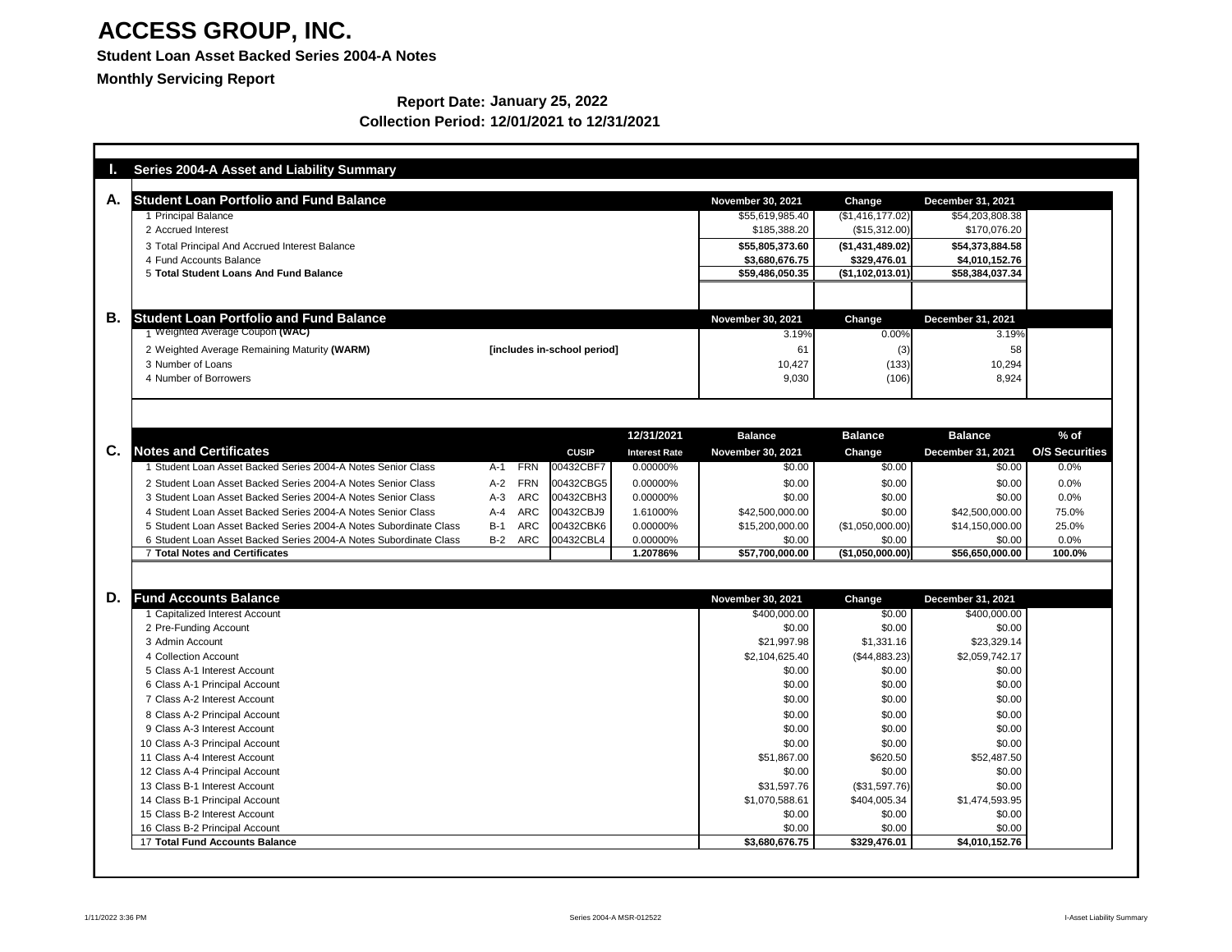### **Student Loan Asset Backed Series 2004-A Notes**

**Monthly Servicing Report**

|                | <b>Series 2004-A Asset and Liability Summary</b>                  |                                    |                      |                          |                   |                          |                       |
|----------------|-------------------------------------------------------------------|------------------------------------|----------------------|--------------------------|-------------------|--------------------------|-----------------------|
|                |                                                                   |                                    |                      |                          |                   |                          |                       |
| Α.             | <b>Student Loan Portfolio and Fund Balance</b>                    |                                    |                      | <b>November 30, 2021</b> | <b>Change</b>     | <b>December 31, 2021</b> |                       |
|                | 1 Principal Balance                                               |                                    |                      | \$55,619,985.40          | (\$1,416,177.02)] | \$54,203,808.38          |                       |
|                | 2 Accrued Interest                                                |                                    |                      | \$185,388.20             | (\$15,312.00)     | \$170,076.20             |                       |
|                | 3 Total Principal And Accrued Interest Balance                    |                                    |                      | \$55,805,373.60          | ( \$1,431,489.02) | \$54,373,884.58          |                       |
|                | 4 Fund Accounts Balance<br>5 Total Student Loans And Fund Balance |                                    |                      | \$3,680,676.75           | \$329,476.01      | \$4,010,152.76           |                       |
|                |                                                                   |                                    |                      | \$59,486,050.35          | (\$1,102,013.01)  | \$58,384,037.34          |                       |
|                |                                                                   |                                    |                      |                          |                   |                          |                       |
| <b>B.</b>      | <b>Student Loan Portfolio and Fund Balance</b>                    |                                    |                      | <b>November 30, 2021</b> | <b>Change</b>     | <b>December 31, 2021</b> |                       |
|                | 1 Weighted Average Coupon (WAC)                                   |                                    |                      | 3.19%                    | 0.00%             | 3.19%                    |                       |
|                | 2 Weighted Average Remaining Maturity (WARM)                      | [includes in-school period]        |                      | 61                       | (3)               | 58                       |                       |
|                | 3 Number of Loans                                                 |                                    |                      | 10,427                   | (133)             | 10,294                   |                       |
|                | 4 Number of Borrowers                                             |                                    |                      | 9,030                    | (106)             | 8,924                    |                       |
|                |                                                                   |                                    |                      |                          |                   |                          |                       |
|                |                                                                   |                                    |                      |                          |                   |                          |                       |
|                |                                                                   |                                    |                      |                          |                   |                          |                       |
|                |                                                                   |                                    | 12/31/2021           | <b>Balance</b>           | <b>Balance</b>    | <b>Balance</b>           | $%$ of                |
| $\mathbf{C}$ . | <b>Notes and Certificates</b>                                     | <b>CUSIP</b>                       | <b>Interest Rate</b> | <b>November 30, 2021</b> | <b>Change</b>     | <b>December 31, 2021</b> | <b>O/S Securities</b> |
|                | 1 Student Loan Asset Backed Series 2004-A Notes Senior Class      | <b>FRN</b><br>00432CBF7<br>A-1     | 0.00000%             | \$0.00                   | $\sqrt{$0.00}$    | \$0.00                   | 0.0%                  |
|                | 2 Student Loan Asset Backed Series 2004-A Notes Senior Class      | <b>FRN</b><br>00432CBG5<br>$A-2$   | 0.00000%             | \$0.00                   | \$0.00            | \$0.00                   | 0.0%                  |
|                | 3 Student Loan Asset Backed Series 2004-A Notes Senior Class      | <b>ARC</b><br>$A-3$<br>00432CBH3   | 0.00000%             | \$0.00                   | \$0.00            | \$0.00                   | 0.0%                  |
|                | 4 Student Loan Asset Backed Series 2004-A Notes Senior Class      | <b>ARC</b><br>$A - 4$<br>00432CBJ9 | 1.61000%             | \$42,500,000.00          | \$0.00            | \$42,500,000.00          | 75.0%                 |
|                | 5 Student Loan Asset Backed Series 2004-A Notes Subordinate Class | <b>ARC</b><br>$B-1$<br>00432CBK6   | 0.00000%             | \$15,200,000.00          | (\$1,050,000.00)  | \$14,150,000.00          | 25.0%                 |
|                | 6 Student Loan Asset Backed Series 2004-A Notes Subordinate Class | <b>ARC</b><br>00432CBL4<br>$B-2$   | 0.00000%             | \$0.00                   | \$0.00            | \$0.00                   | 0.0%                  |
|                | <b>7 Total Notes and Certificates</b>                             |                                    | 1.20786%             | \$57,700,000.00          | (\$1,050,000.00)  | \$56,650,000.00          | 100.0%                |
|                |                                                                   |                                    |                      |                          |                   |                          |                       |
| D.             | <b>Fund Accounts Balance</b>                                      |                                    |                      | <b>November 30, 2021</b> | <b>Change</b>     | <b>December 31, 2021</b> |                       |
|                | 1 Capitalized Interest Account                                    |                                    |                      | \$400,000.00             | \$0.00            | \$400,000.00             |                       |
|                | 2 Pre-Funding Account                                             |                                    |                      | \$0.00                   | \$0.00            | \$0.00                   |                       |
|                | 3 Admin Account                                                   |                                    |                      | \$21,997.98              | \$1,331.16        | \$23,329.14              |                       |
|                | 4 Collection Account                                              |                                    |                      | \$2,104,625.40           | (\$44,883.23)     | \$2,059,742.17           |                       |
|                | 5 Class A-1 Interest Account                                      |                                    |                      | \$0.00                   | \$0.00            | \$0.00                   |                       |
|                | 6 Class A-1 Principal Account                                     |                                    |                      | \$0.00                   | \$0.00            | \$0.00                   |                       |
|                | 7 Class A-2 Interest Account                                      |                                    |                      | \$0.00                   | \$0.00            | \$0.00                   |                       |
|                | 8 Class A-2 Principal Account                                     |                                    |                      | \$0.00                   | \$0.00            | \$0.00                   |                       |
|                | 9 Class A-3 Interest Account                                      |                                    |                      | \$0.00                   | \$0.00            | \$0.00                   |                       |
|                | 10 Class A-3 Principal Account                                    |                                    |                      | \$0.00                   | \$0.00            | \$0.00                   |                       |
|                | 11 Class A-4 Interest Account                                     |                                    |                      | \$51,867.00              | \$620.50          | \$52,487.50              |                       |
|                | 12 Class A-4 Principal Account                                    |                                    |                      | \$0.00                   | \$0.00            | \$0.00                   |                       |
|                | 13 Class B-1 Interest Account                                     |                                    |                      | \$31,597.76              | (\$31,597.76)     | \$0.00                   |                       |
|                | 14 Class B-1 Principal Account                                    |                                    |                      | \$1,070,588.61           | \$404,005.34      | \$1,474,593.95           |                       |
|                | 15 Class B-2 Interest Account                                     |                                    |                      | \$0.00                   | \$0.00            | \$0.00                   |                       |
|                | 16 Class B-2 Principal Account                                    |                                    |                      | \$0.00                   | \$0.00            | \$0.00                   |                       |
|                | <b>17 Total Fund Accounts Balance</b>                             |                                    |                      | \$3,680,676.75           | \$329,476.01      | \$4,010,152.76           |                       |

#### **Report Date: January 25, 2022 Collection Period: 12/01/2021 to 12/31/2021**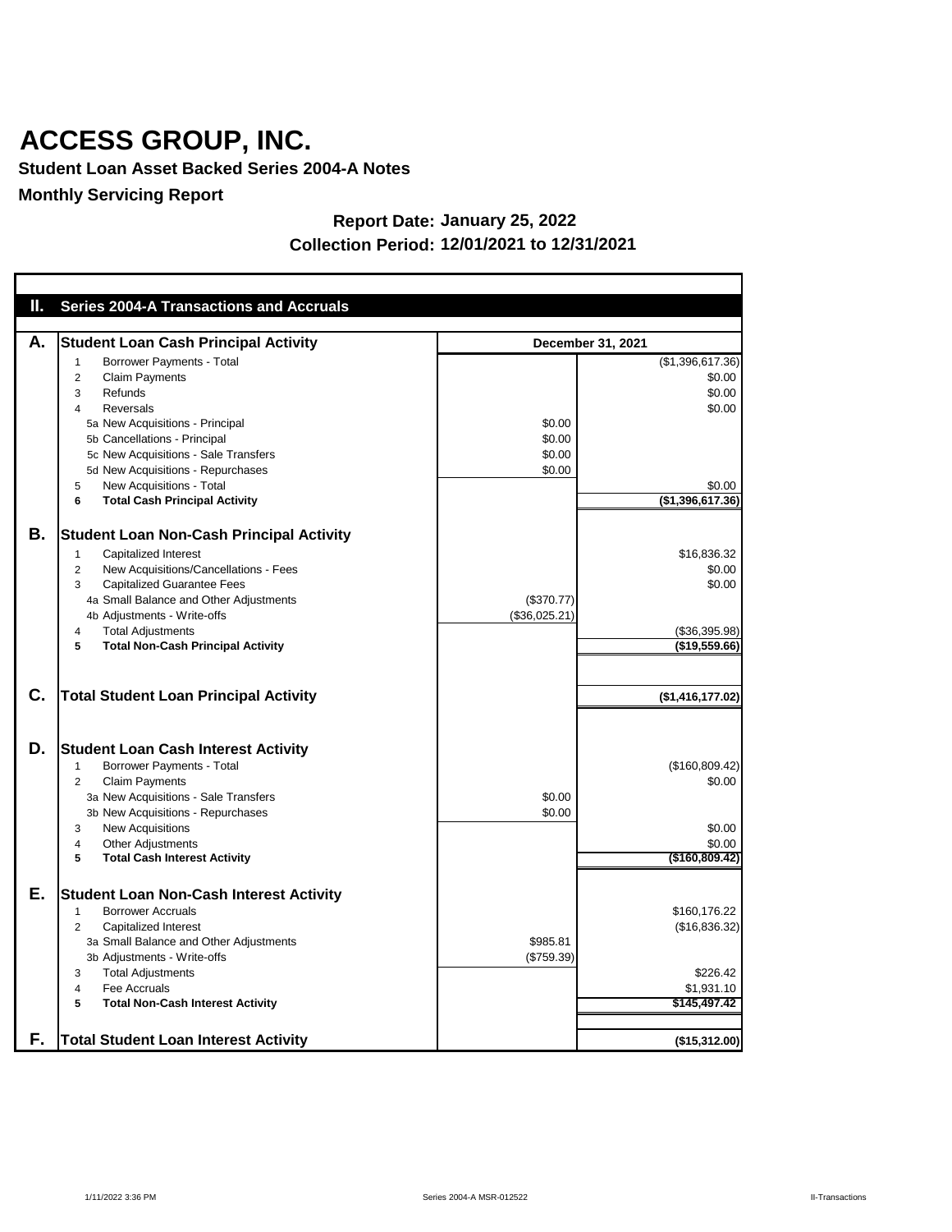**Student Loan Asset Backed Series 2004-A Notes**

**Monthly Servicing Report**

| $\mathbf{I}_{\mathbf{r}}$ | <b>Series 2004-A Transactions and Accruals</b>                                                                                                                                                                                                                                                                                             |                                      |                                                                              |
|---------------------------|--------------------------------------------------------------------------------------------------------------------------------------------------------------------------------------------------------------------------------------------------------------------------------------------------------------------------------------------|--------------------------------------|------------------------------------------------------------------------------|
|                           |                                                                                                                                                                                                                                                                                                                                            |                                      |                                                                              |
| А.                        | <b>Student Loan Cash Principal Activity</b>                                                                                                                                                                                                                                                                                                |                                      | <b>December 31, 2021</b>                                                     |
|                           | <b>Borrower Payments - Total</b><br>1<br><b>Claim Payments</b><br>2<br>Refunds<br>3<br><b>Reversals</b><br>4<br>5a New Acquisitions - Principal<br>5b Cancellations - Principal<br>5c New Acquisitions - Sale Transfers<br>5d New Acquisitions - Repurchases<br>New Acquisitions - Total<br>5<br><b>Total Cash Principal Activity</b><br>6 | \$0.00<br>\$0.00<br>\$0.00<br>\$0.00 | (\$1,396,617.36)<br>\$0.00<br>\$0.00<br>\$0.00<br>\$0.00<br>(\$1,396,617.36) |
| В.                        | <b>Student Loan Non-Cash Principal Activity</b><br><b>Capitalized Interest</b><br>1<br>New Acquisitions/Cancellations - Fees<br>2<br><b>Capitalized Guarantee Fees</b><br>3<br>4a Small Balance and Other Adjustments<br>4b Adjustments - Write-offs<br><b>Total Adjustments</b><br>4<br><b>Total Non-Cash Principal Activity</b><br>5     | (\$370.77)<br>(\$36,025.21)          | \$16,836.32<br>\$0.00<br>\$0.00<br>(\$36,395.98)<br>(\$19,559.66)            |
| C.                        | <b>Total Student Loan Principal Activity</b>                                                                                                                                                                                                                                                                                               |                                      | (\$1,416,177.02)                                                             |
| D.                        | <b>Student Loan Cash Interest Activity</b><br><b>Borrower Payments - Total</b><br>1<br><b>Claim Payments</b><br>2<br>3a New Acquisitions - Sale Transfers<br>3b New Acquisitions - Repurchases<br><b>New Acquisitions</b><br>3<br><b>Other Adjustments</b><br>4<br><b>Total Cash Interest Activity</b><br>5                                | \$0.00<br>\$0.00                     | (\$160,809.42)<br>\$0.00<br>\$0.00<br>\$0.00<br>$($ \$160,809.42)            |
| Е.                        | <b>Student Loan Non-Cash Interest Activity</b><br><b>Borrower Accruals</b><br>Capitalized Interest<br>2<br>3a Small Balance and Other Adjustments<br>3b Adjustments - Write-offs<br><b>Total Adjustments</b><br>3<br>Fee Accruals<br>4<br><b>Total Non-Cash Interest Activity</b><br>5                                                     | \$985.81<br>(\$759.39)               | \$160,176.22<br>(\$16,836.32)<br>\$226.42<br>\$1,931.10<br>\$145,497.42      |
| F.                        | <b>Total Student Loan Interest Activity</b>                                                                                                                                                                                                                                                                                                |                                      | (\$15,312.00)                                                                |

#### **Report Date: January 25, 2022 Collection Period: 12/01/2021 to 12/31/2021**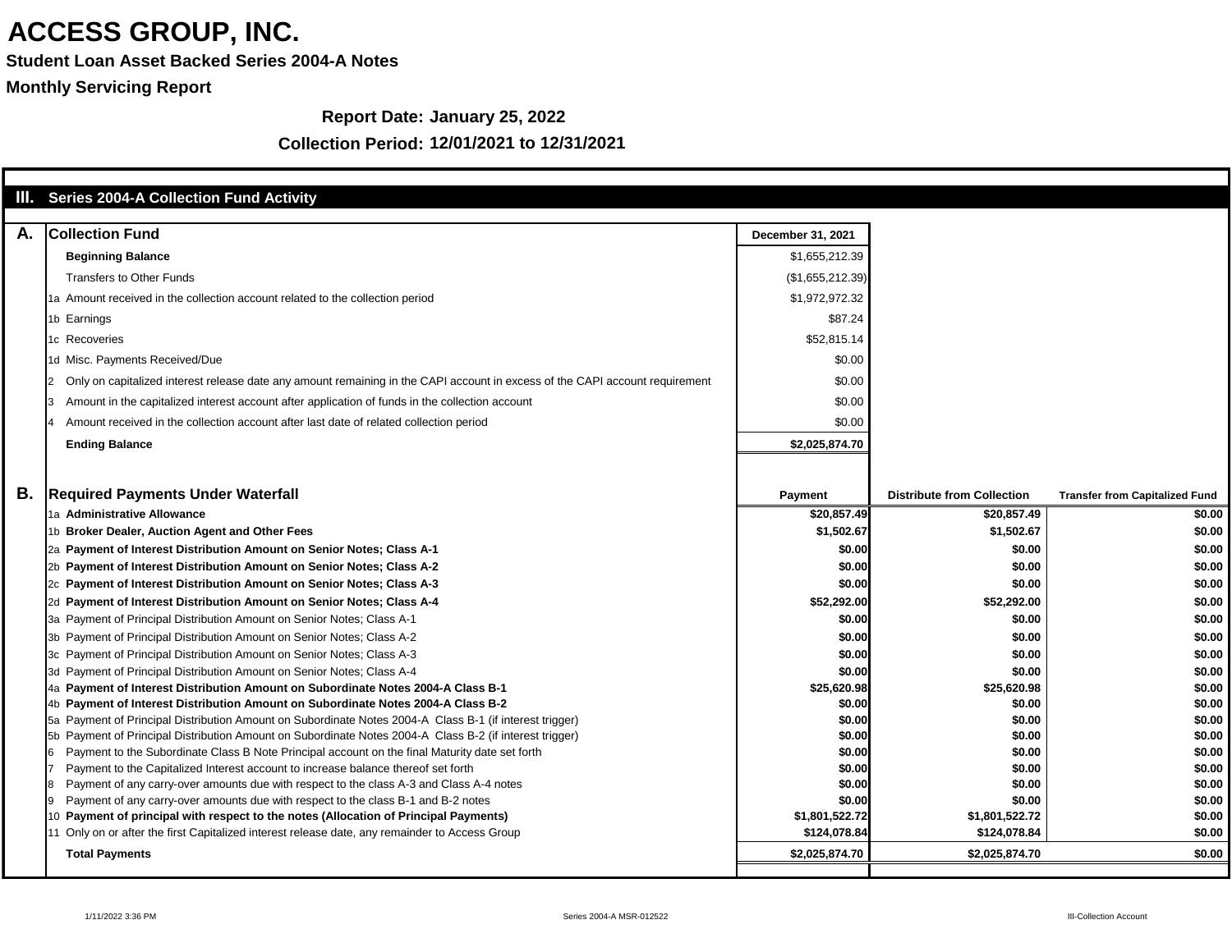**Student Loan Asset Backed Series 2004-A Notes**

**Monthly Servicing Report**

#### **Report Date: January 25, 2022**

|    | III. Series 2004-A Collection Fund Activity                                                                                                                               |                          |                                   |                                       |
|----|---------------------------------------------------------------------------------------------------------------------------------------------------------------------------|--------------------------|-----------------------------------|---------------------------------------|
| А. | <b>Collection Fund</b>                                                                                                                                                    | <b>December 31, 2021</b> |                                   |                                       |
|    | <b>Beginning Balance</b>                                                                                                                                                  | \$1,655,212.39           |                                   |                                       |
|    | <b>Transfers to Other Funds</b>                                                                                                                                           | (\$1,655,212.39)         |                                   |                                       |
|    | 1a Amount received in the collection account related to the collection period                                                                                             | \$1,972,972.32           |                                   |                                       |
|    |                                                                                                                                                                           | \$87.24                  |                                   |                                       |
|    | 1b Earnings                                                                                                                                                               |                          |                                   |                                       |
|    | 1c Recoveries                                                                                                                                                             | \$52,815.14              |                                   |                                       |
|    | 1d Misc. Payments Received/Due                                                                                                                                            | \$0.00                   |                                   |                                       |
|    | Only on capitalized interest release date any amount remaining in the CAPI account in excess of the CAPI account requirement                                              | \$0.00                   |                                   |                                       |
|    | Amount in the capitalized interest account after application of funds in the collection account                                                                           | \$0.00                   |                                   |                                       |
|    | Amount received in the collection account after last date of related collection period                                                                                    | \$0.00                   |                                   |                                       |
|    | <b>Ending Balance</b>                                                                                                                                                     | \$2,025,874.70           |                                   |                                       |
|    |                                                                                                                                                                           |                          |                                   |                                       |
| Β. | <b>Required Payments Under Waterfall</b>                                                                                                                                  | <b>Payment</b>           | <b>Distribute from Collection</b> | <b>Transfer from Capitalized Fund</b> |
|    | 1a Administrative Allowance                                                                                                                                               | \$20,857.49              | \$20,857.49                       | \$0.00                                |
|    | 1b Broker Dealer, Auction Agent and Other Fees                                                                                                                            | \$1,502.67               | \$1,502.67                        | \$0.00                                |
|    | 2a Payment of Interest Distribution Amount on Senior Notes; Class A-1                                                                                                     | \$0.00                   | \$0.00                            | \$0.00                                |
|    | 2b Payment of Interest Distribution Amount on Senior Notes; Class A-2                                                                                                     | \$0.00                   | \$0.00                            | \$0.00                                |
|    | 2c Payment of Interest Distribution Amount on Senior Notes; Class A-3                                                                                                     | \$0.00                   | \$0.00                            | \$0.00                                |
|    | 2d Payment of Interest Distribution Amount on Senior Notes; Class A-4                                                                                                     | \$52,292.00              | \$52,292.00                       | \$0.00                                |
|    | 3a Payment of Principal Distribution Amount on Senior Notes; Class A-1                                                                                                    | \$0.00                   | \$0.00                            | \$0.00                                |
|    | 3b Payment of Principal Distribution Amount on Senior Notes; Class A-2                                                                                                    | \$0.00                   | \$0.00                            | \$0.00                                |
|    | 3c Payment of Principal Distribution Amount on Senior Notes; Class A-3                                                                                                    | \$0.00                   | \$0.00                            | \$0.00                                |
|    | 3d Payment of Principal Distribution Amount on Senior Notes; Class A-4<br>4a Payment of Interest Distribution Amount on Subordinate Notes 2004-A Class B-1                | \$0.00<br>\$25,620.98    | \$0.00<br>\$25,620.98             | \$0.00<br>\$0.00                      |
|    | 4b Payment of Interest Distribution Amount on Subordinate Notes 2004-A Class B-2                                                                                          | \$0.00                   | \$0.00                            | \$0.00                                |
|    | 5a Payment of Principal Distribution Amount on Subordinate Notes 2004-A Class B-1 (if interest trigger)                                                                   | \$0.00                   | \$0.00                            | \$0.00                                |
|    | 5b Payment of Principal Distribution Amount on Subordinate Notes 2004-A Class B-2 (if interest trigger)                                                                   | \$0.00                   | \$0.00                            | \$0.00                                |
|    | Payment to the Subordinate Class B Note Principal account on the final Maturity date set forth                                                                            | \$0.00                   | \$0.00                            | \$0.00                                |
|    | Payment to the Capitalized Interest account to increase balance thereof set forth                                                                                         | \$0.00                   | \$0.00                            | \$0.00                                |
|    | Payment of any carry-over amounts due with respect to the class A-3 and Class A-4 notes                                                                                   | \$0.00                   | \$0.00                            | \$0.00                                |
|    | Payment of any carry-over amounts due with respect to the class B-1 and B-2 notes<br>10 Payment of principal with respect to the notes (Allocation of Principal Payments) | \$0.00<br>\$1,801,522.72 | \$0.00<br>\$1,801,522.72          | \$0.00<br>\$0.00                      |
|    | 11 Only on or after the first Capitalized interest release date, any remainder to Access Group                                                                            | \$124,078.84             | \$124,078.84                      | \$0.00                                |
|    | <b>Total Payments</b>                                                                                                                                                     | \$2,025,874.70           | \$2,025,874.70                    | \$0.00                                |
|    |                                                                                                                                                                           |                          |                                   |                                       |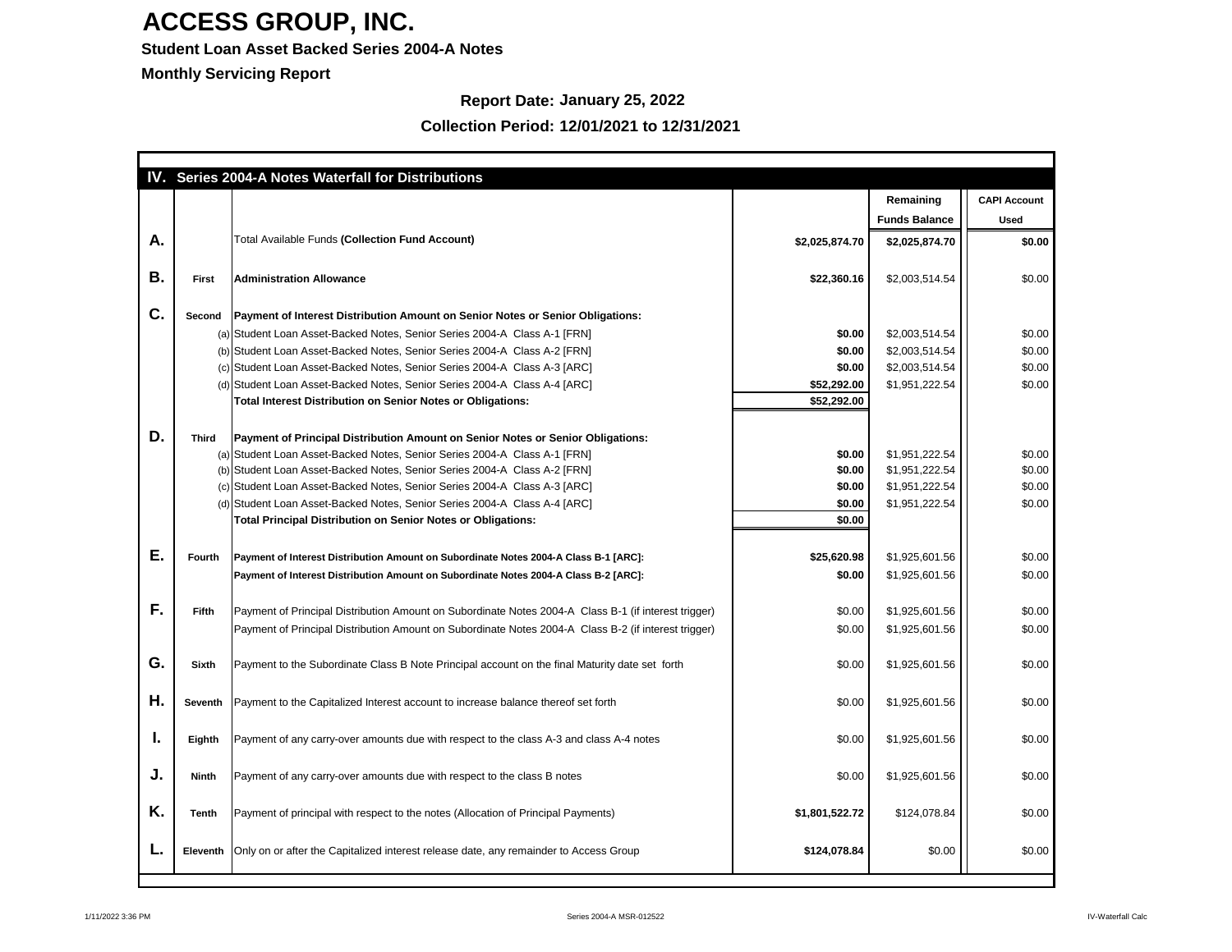#### **Student Loan Asset Backed Series 2004-A Notes**

**Monthly Servicing Report**

### **Report Date: January 25, 2022**

|    |                 | <b>Series 2004-A Notes Waterfall for Distributions</b>                                                                                                       |                |                      |                     |
|----|-----------------|--------------------------------------------------------------------------------------------------------------------------------------------------------------|----------------|----------------------|---------------------|
|    |                 |                                                                                                                                                              |                | Remaining            | <b>CAPI Account</b> |
|    |                 |                                                                                                                                                              |                | <b>Funds Balance</b> | <b>Used</b>         |
| А. |                 | Total Available Funds (Collection Fund Account)                                                                                                              | \$2,025,874.70 | \$2,025,874.70       | \$0.00              |
| В. | <b>First</b>    | <b>Administration Allowance</b>                                                                                                                              | \$22,360.16    | \$2,003,514.54       | \$0.00              |
| C. | <b>Second</b>   | Payment of Interest Distribution Amount on Senior Notes or Senior Obligations:                                                                               |                |                      |                     |
|    |                 | (a) Student Loan Asset-Backed Notes, Senior Series 2004-A Class A-1 [FRN]                                                                                    | \$0.00         | \$2,003,514.54       | \$0.00              |
|    |                 | (b) Student Loan Asset-Backed Notes, Senior Series 2004-A Class A-2 [FRN]                                                                                    | \$0.00         | \$2,003,514.54       | \$0.00              |
|    |                 | (c) Student Loan Asset-Backed Notes, Senior Series 2004-A Class A-3 [ARC]                                                                                    | \$0.00         | \$2,003,514.54       | \$0.00              |
|    |                 | (d) Student Loan Asset-Backed Notes, Senior Series 2004-A Class A-4 [ARC]                                                                                    | \$52,292.00    | \$1,951,222.54       | \$0.00              |
|    |                 | <b>Total Interest Distribution on Senior Notes or Obligations:</b>                                                                                           | \$52,292.00    |                      |                     |
| D. | <b>Third</b>    | Payment of Principal Distribution Amount on Senior Notes or Senior Obligations:<br>(a) Student Loan Asset-Backed Notes, Senior Series 2004-A Class A-1 [FRN] | \$0.00         | \$1,951,222.54       | \$0.00              |
|    |                 | (b) Student Loan Asset-Backed Notes, Senior Series 2004-A Class A-2 [FRN]                                                                                    | \$0.00         | \$1,951,222.54       | \$0.00              |
|    |                 | (c) Student Loan Asset-Backed Notes, Senior Series 2004-A Class A-3 [ARC]                                                                                    | \$0.00         | \$1,951,222.54       | \$0.00              |
|    |                 | (d) Student Loan Asset-Backed Notes, Senior Series 2004-A Class A-4 [ARC]                                                                                    | \$0.00         | \$1,951,222.54       | \$0.00              |
|    |                 | <b>Total Principal Distribution on Senior Notes or Obligations:</b>                                                                                          | \$0.00         |                      |                     |
| Е. | <b>Fourth</b>   | Payment of Interest Distribution Amount on Subordinate Notes 2004-A Class B-1 [ARC]:                                                                         | \$25,620.98    | \$1,925,601.56       | \$0.00              |
|    |                 | Payment of Interest Distribution Amount on Subordinate Notes 2004-A Class B-2 [ARC]:                                                                         | \$0.00         | \$1,925,601.56       | \$0.00              |
|    |                 |                                                                                                                                                              |                |                      |                     |
| F. | <b>Fifth</b>    | Payment of Principal Distribution Amount on Subordinate Notes 2004-A Class B-1 (if interest trigger)                                                         | \$0.00         | \$1,925,601.56       | \$0.00              |
|    |                 | Payment of Principal Distribution Amount on Subordinate Notes 2004-A Class B-2 (if interest trigger)                                                         | \$0.00         | \$1,925,601.56       | \$0.00              |
| G. | <b>Sixth</b>    | Payment to the Subordinate Class B Note Principal account on the final Maturity date set forth                                                               | \$0.00         | \$1,925,601.56       | \$0.00              |
| Η. | <b>Seventh</b>  | Payment to the Capitalized Interest account to increase balance thereof set forth                                                                            | \$0.00         | \$1,925,601.56       | \$0.00              |
| ъ. | Eighth          | Payment of any carry-over amounts due with respect to the class A-3 and class A-4 notes                                                                      | \$0.00         | \$1,925,601.56       | \$0.00              |
| J. | <b>Ninth</b>    | Payment of any carry-over amounts due with respect to the class B notes                                                                                      | \$0.00         | \$1,925,601.56       | \$0.00              |
| Κ. | <b>Tenth</b>    | Payment of principal with respect to the notes (Allocation of Principal Payments)                                                                            | \$1,801,522.72 | \$124,078.84         | \$0.00              |
| L, | <b>Eleventh</b> | Only on or after the Capitalized interest release date, any remainder to Access Group                                                                        | \$124,078.84   | \$0.00               | \$0.00              |
|    |                 |                                                                                                                                                              |                |                      |                     |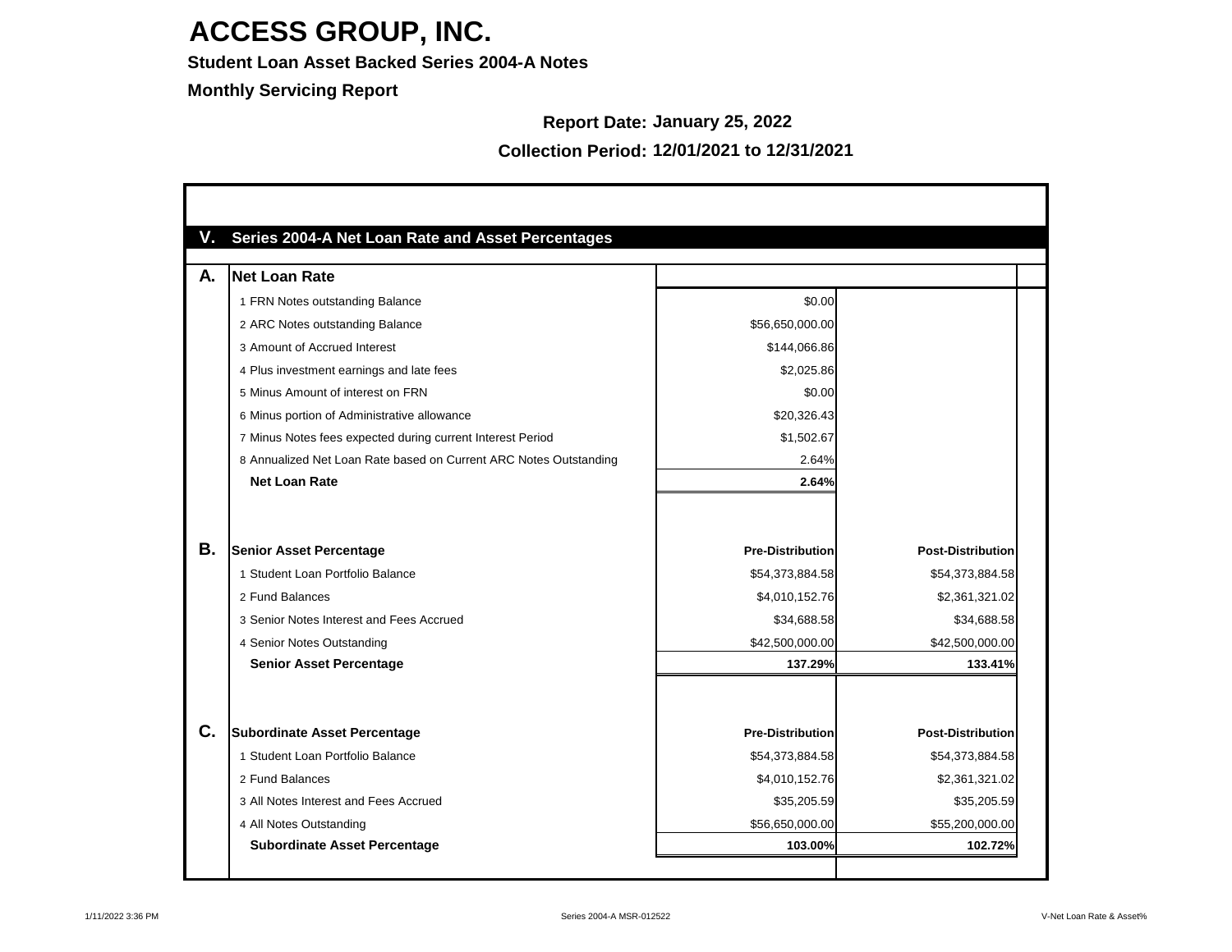**Student Loan Asset Backed Series 2004-A Notes**

**Monthly Servicing Report**

#### **Report Date: January 25, 2022**

| А.        | <b>Net Loan Rate</b>                                              |                         |                          |
|-----------|-------------------------------------------------------------------|-------------------------|--------------------------|
|           | 1 FRN Notes outstanding Balance                                   | \$0.00                  |                          |
|           | 2 ARC Notes outstanding Balance                                   | \$56,650,000.00         |                          |
|           | 3 Amount of Accrued Interest                                      | \$144,066.86            |                          |
|           | 4 Plus investment earnings and late fees                          | \$2,025.86              |                          |
|           | 5 Minus Amount of interest on FRN                                 | \$0.00                  |                          |
|           | 6 Minus portion of Administrative allowance                       | \$20,326.43             |                          |
|           | 7 Minus Notes fees expected during current Interest Period        | \$1,502.67              |                          |
|           | 8 Annualized Net Loan Rate based on Current ARC Notes Outstanding | 2.64%                   |                          |
|           | <b>Net Loan Rate</b>                                              | 2.64%                   |                          |
| <b>B.</b> | <b>Senior Asset Percentage</b>                                    | <b>Pre-Distribution</b> | <b>Post-Distribution</b> |
|           | 1 Student Loan Portfolio Balance                                  | \$54,373,884.58         | \$54,373,884.58          |
|           | 2 Fund Balances                                                   | \$4,010,152.76          | \$2,361,321.02           |
|           | 3 Senior Notes Interest and Fees Accrued                          | \$34,688.58             | \$34,688.58              |
|           | 4 Senior Notes Outstanding                                        | \$42,500,000.00         | \$42,500,000.00          |
|           | <b>Senior Asset Percentage</b>                                    | 137.29%                 | 133.41%                  |
| C.        | <b>Subordinate Asset Percentage</b>                               | <b>Pre-Distribution</b> | <b>Post-Distribution</b> |
|           | 1 Student Loan Portfolio Balance                                  | \$54,373,884.58         | \$54,373,884.58          |
|           | 2 Fund Balances                                                   | \$4,010,152.76          | \$2,361,321.02           |
|           | 3 All Notes Interest and Fees Accrued                             | \$35,205.59             | \$35,205.59              |
|           | 4 All Notes Outstanding                                           | \$56,650,000.00         | \$55,200,000.00          |
|           |                                                                   |                         |                          |

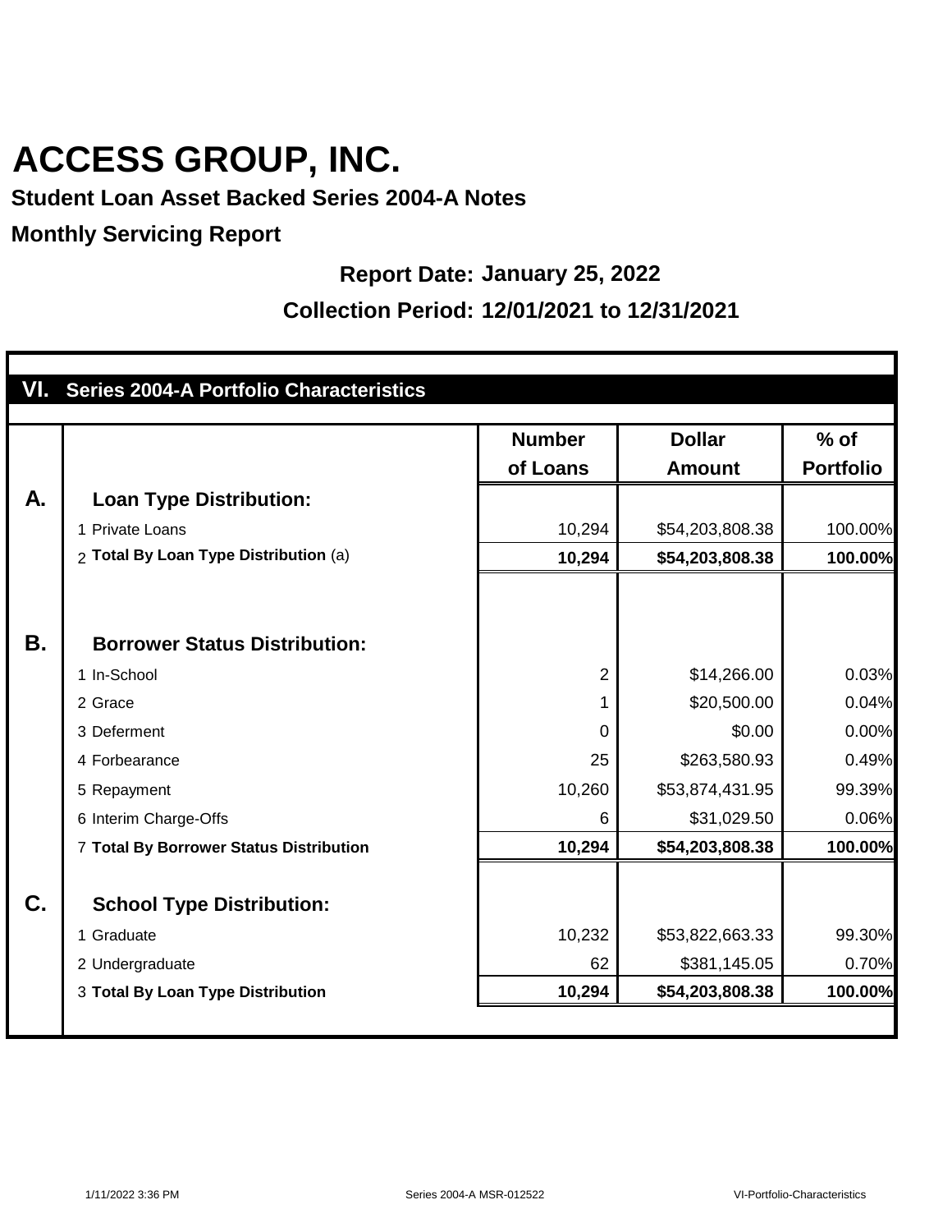### **Student Loan Asset Backed Series 2004-A Notes**

#### **Monthly Servicing Report**

#### **Report Date: January 25, 2022**

|    | VI. Series 2004-A Portfolio Characteristics |                |                 |                  |
|----|---------------------------------------------|----------------|-----------------|------------------|
|    |                                             | <b>Number</b>  | <b>Dollar</b>   | $%$ of           |
|    |                                             | of Loans       | <b>Amount</b>   | <b>Portfolio</b> |
| A. | <b>Loan Type Distribution:</b>              |                |                 |                  |
|    | 1 Private Loans                             | 10,294         | \$54,203,808.38 | 100.00%          |
|    | 2 Total By Loan Type Distribution (a)       | 10,294         | \$54,203,808.38 | 100.00%          |
|    |                                             |                |                 |                  |
|    |                                             |                |                 |                  |
| В. | <b>Borrower Status Distribution:</b>        |                |                 |                  |
|    | 1 In-School                                 | $\overline{2}$ | \$14,266.00     | 0.03%            |
|    | 2 Grace                                     | 1              | \$20,500.00     | 0.04%            |
|    | 3 Deferment                                 | $\overline{0}$ | \$0.00          | 0.00%            |
|    | 4 Forbearance                               | 25             | \$263,580.93    | 0.49%            |
|    | 5 Repayment                                 | 10,260         | \$53,874,431.95 | 99.39%           |
|    | 6 Interim Charge-Offs                       | 6              | \$31,029.50     | 0.06%            |
|    | 7 Total By Borrower Status Distribution     | 10,294         | \$54,203,808.38 | 100.00%          |
| C. | <b>School Type Distribution:</b>            |                |                 |                  |
|    | 1 Graduate                                  | 10,232         | \$53,822,663.33 | 99.30%           |
|    | 2 Undergraduate                             | 62             | \$381,145.05    | 0.70%            |
|    | 3 Total By Loan Type Distribution           | 10,294         | \$54,203,808.38 | 100.00%          |
|    |                                             |                |                 |                  |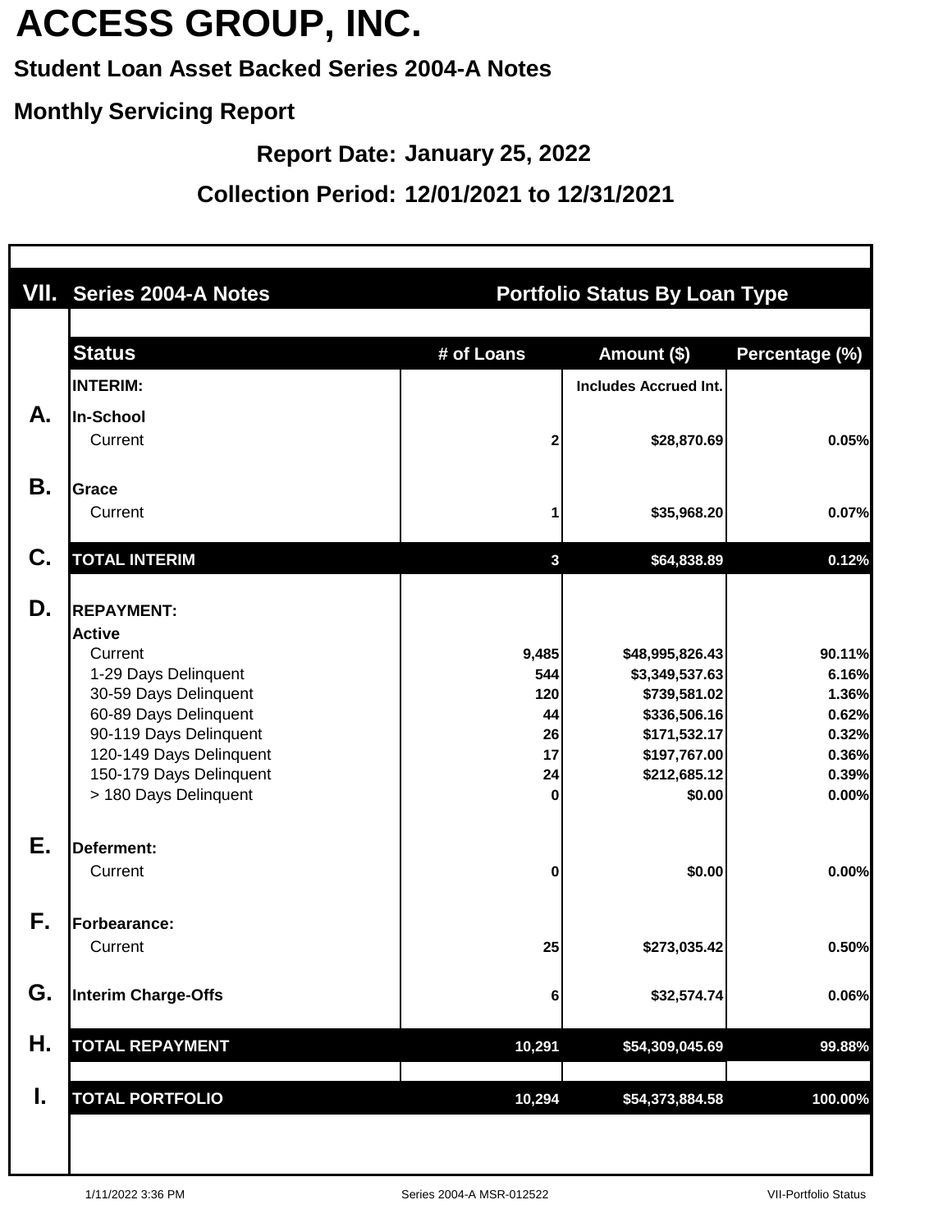### **Student Loan Asset Backed Series 2004-A Notes**

#### **Monthly Servicing Report**

**Report Date: January 25, 2022**

| <b>VII. Series 2004-A Notes</b>                                                                                                                                                                                                  |                                                  |                                                                                                                             |                                                                       |
|----------------------------------------------------------------------------------------------------------------------------------------------------------------------------------------------------------------------------------|--------------------------------------------------|-----------------------------------------------------------------------------------------------------------------------------|-----------------------------------------------------------------------|
| <b>Status</b>                                                                                                                                                                                                                    | # of Loans                                       | Amount (\$)                                                                                                                 | Percentage (%)                                                        |
| In-School<br>Current                                                                                                                                                                                                             | 2                                                | \$28,870.69                                                                                                                 | 0.05%                                                                 |
| <b>Grace</b><br>Current                                                                                                                                                                                                          |                                                  | \$35,968.20                                                                                                                 | 0.07%                                                                 |
| <b>TOTAL INTERIM</b>                                                                                                                                                                                                             | $\mathbf{3}$                                     | \$64,838.89                                                                                                                 | 0.12%                                                                 |
| <b>REPAYMENT:</b><br><b>Active</b><br>Current<br>1-29 Days Delinquent<br>30-59 Days Delinquent<br>60-89 Days Delinquent<br>90-119 Days Delinquent<br>120-149 Days Delinquent<br>150-179 Days Delinquent<br>> 180 Days Delinquent | 9,485<br>544<br>120<br>44<br>26<br>17<br>24<br>0 | \$48,995,826.43<br>\$3,349,537.63<br>\$739,581.02<br>\$336,506.16<br>\$171,532.17<br>\$197,767.00<br>\$212,685.12<br>\$0.00 | 90.11%<br>6.16%<br>1.36%<br>0.62%<br>0.32%<br>0.36%<br>0.39%<br>0.00% |
| <b>Deferment:</b><br>Current                                                                                                                                                                                                     | 0                                                | \$0.00                                                                                                                      | 0.00%                                                                 |
| Forbearance:<br>Current                                                                                                                                                                                                          | 25                                               | \$273,035.42                                                                                                                | 0.50%                                                                 |
| <b>Interim Charge-Offs</b>                                                                                                                                                                                                       | 6                                                | \$32,574.74                                                                                                                 | 0.06%                                                                 |
| <b>TOTAL REPAYMENT</b>                                                                                                                                                                                                           | 10,291                                           | \$54,309,045.69                                                                                                             | 99.88%                                                                |
| <b>TOTAL PORTFOLIO</b>                                                                                                                                                                                                           | 10,294                                           | \$54,373,884.58                                                                                                             | 100.00%                                                               |
|                                                                                                                                                                                                                                  | <b>INTERIM:</b>                                  |                                                                                                                             | <b>Portfolio Status By Loan Type</b><br><b>Includes Accrued Int.</b>  |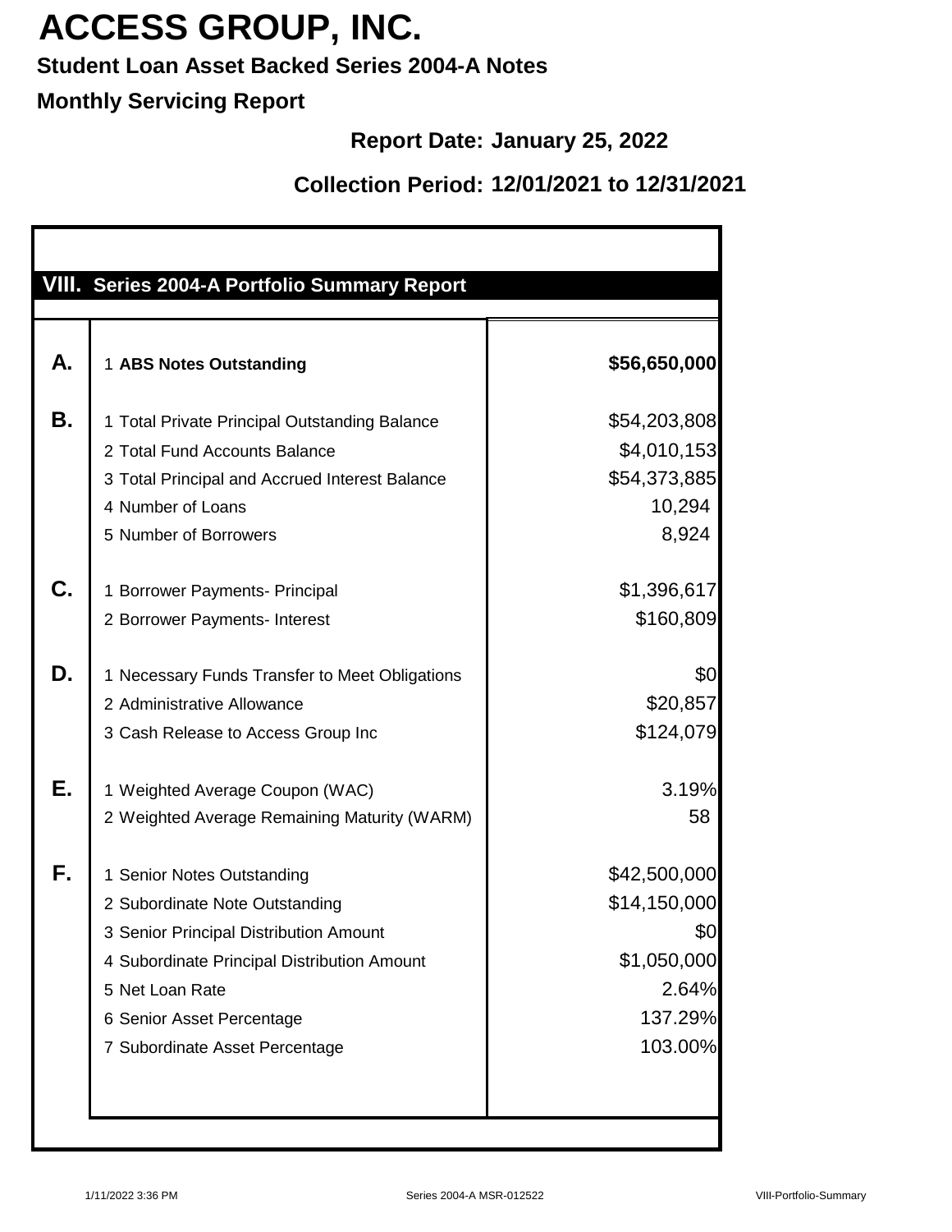### **Student Loan Asset Backed Series 2004-A Notes**

### **Monthly Servicing Report**

### **Report Date: January 25, 2022**

|          | VIII. Series 2004-A Portfolio Summary Report                                                                                                                                                                                            |                                                                                   |
|----------|-----------------------------------------------------------------------------------------------------------------------------------------------------------------------------------------------------------------------------------------|-----------------------------------------------------------------------------------|
| А.       | 1 ABS Notes Outstanding                                                                                                                                                                                                                 | \$56,650,000                                                                      |
| В.       | 1 Total Private Principal Outstanding Balance<br>2 Total Fund Accounts Balance<br>3 Total Principal and Accrued Interest Balance<br>4 Number of Loans<br>5 Number of Borrowers                                                          | \$54,203,808<br>\$4,010,153<br>\$54,373,885<br>10,294<br>8,924                    |
| C.       | 1 Borrower Payments- Principal<br>2 Borrower Payments- Interest                                                                                                                                                                         | \$1,396,617<br>\$160,809                                                          |
| D.<br>Е. | 1 Necessary Funds Transfer to Meet Obligations<br>2 Administrative Allowance<br>3 Cash Release to Access Group Inc<br>1 Weighted Average Coupon (WAC)                                                                                   | \$0<br>\$20,857<br>\$124,079<br>3.19%                                             |
|          | 2 Weighted Average Remaining Maturity (WARM)                                                                                                                                                                                            | 58                                                                                |
| F.       | 1 Senior Notes Outstanding<br>2 Subordinate Note Outstanding<br>3 Senior Principal Distribution Amount<br>4 Subordinate Principal Distribution Amount<br>5 Net Loan Rate<br>6 Senior Asset Percentage<br>7 Subordinate Asset Percentage | \$42,500,000<br>\$14,150,000<br>\$0<br>\$1,050,000<br>2.64%<br>137.29%<br>103.00% |